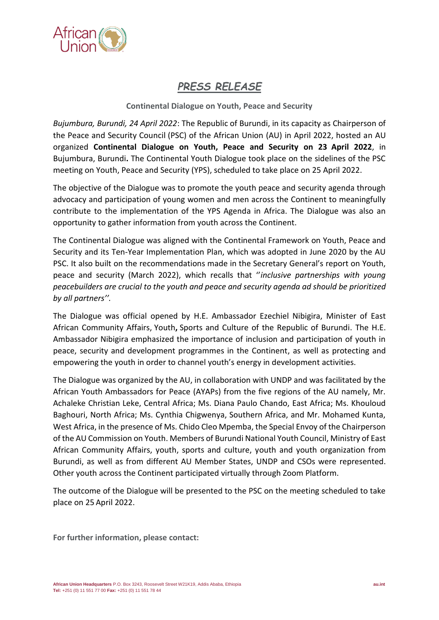

## *PRESS RELEASE*

## **Continental Dialogue on Youth, Peace and Security**

*Bujumbura, Burundi, 24 April 2022*: The Republic of Burundi, in its capacity as Chairperson of the Peace and Security Council (PSC) of the African Union (AU) in April 2022, hosted an AU organized **Continental Dialogue on Youth, Peace and Security on 23 April 2022**, in Bujumbura, Burundi**.** The Continental Youth Dialogue took place on the sidelines of the PSC meeting on Youth, Peace and Security (YPS), scheduled to take place on 25 April 2022.

The objective of the Dialogue was to promote the youth peace and security agenda through advocacy and participation of young women and men across the Continent to meaningfully contribute to the implementation of the YPS Agenda in Africa. The Dialogue was also an opportunity to gather information from youth across the Continent.

The Continental Dialogue was aligned with the Continental Framework on Youth, Peace and Security and its Ten-Year Implementation Plan, which was adopted in June 2020 by the AU PSC. It also built on the recommendations made in the Secretary General's report on Youth, peace and security (March 2022), which recalls that ''*inclusive partnerships with young peacebuilders are crucial to the youth and peace and security agenda ad should be prioritized by all partners''.*

The Dialogue was official opened by H.E. Ambassador Ezechiel Nibigira, Minister of East African Community Affairs, Youth**,** Sports and Culture of the Republic of Burundi. The H.E. Ambassador Nibigira emphasized the importance of inclusion and participation of youth in peace, security and development programmes in the Continent, as well as protecting and empowering the youth in order to channel youth's energy in development activities.

The Dialogue was organized by the AU, in collaboration with UNDP and was facilitated by the African Youth Ambassadors for Peace (AYAPs) from the five regions of the AU namely, Mr. Achaleke Christian Leke, Central Africa; Ms. Diana Paulo Chando, East Africa; Ms. Khouloud Baghouri, North Africa; Ms. Cynthia Chigwenya, Southern Africa, and Mr. Mohamed Kunta, West Africa, in the presence of Ms. Chido Cleo Mpemba, the Special Envoy of the Chairperson of the AU Commission on Youth. Members of Burundi National Youth Council, Ministry of East African Community Affairs, youth, sports and culture, youth and youth organization from Burundi, as well as from different AU Member States, UNDP and CSOs were represented. Other youth across the Continent participated virtually through Zoom Platform.

The outcome of the Dialogue will be presented to the PSC on the meeting scheduled to take place on 25 April 2022.

**For further information, please contact:**